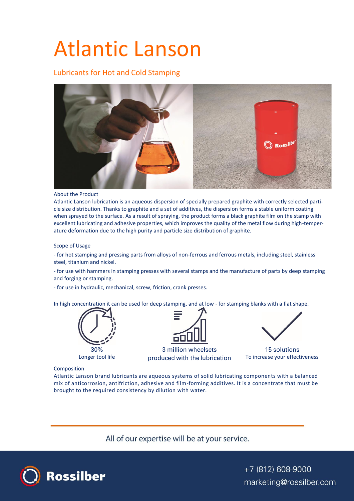# Atlantic Lanson

Lubricants for Hot and Cold Stamping



## About the Product

Atlantic Lanson lubrication is an aqueous dispersion of specially prepared graphite with correctly selected particle size distribution. Thanks to graphite and a set of additives, the dispersion forms a stable uniform coating when sprayed to the surface. As a result of spraying, the product forms a black graphite film on the stamp with excellent lubricating and adhesive properties, which improves the quality of the metal flow during high-temperature deformation due to the high purity and particle size distribution of graphite.

Scope of Usage

- for hot stamping and pressing parts from alloys of non-ferrous and ferrous metals, including steel, stainless steel, titanium and nickel.

- for use with hammers in stamping presses with several stamps and the manufacture of parts by deep stamping and forging or stamping.

- for use in hydraulic, mechanical, screw, friction, crank presses.

In high concentration it can be used for deep stamping, and at low - for stamping blanks with a flat shape.





3 million wheelsets Longer tool life http://www.produced with the lubrication http://www.produced.com



15 solutions

# Composition

Atlantic Lanson brand lubricants are aqueous systems of solid lubricating components with a balanced mix of anticorrosion, antifriction, adhesive and film-forming additives. It is a concentrate that must be brought to the required consistency by dilution with water.

All of our expertise will be at your service.



+7 (812) 608-9000 marketing@rossilber.com